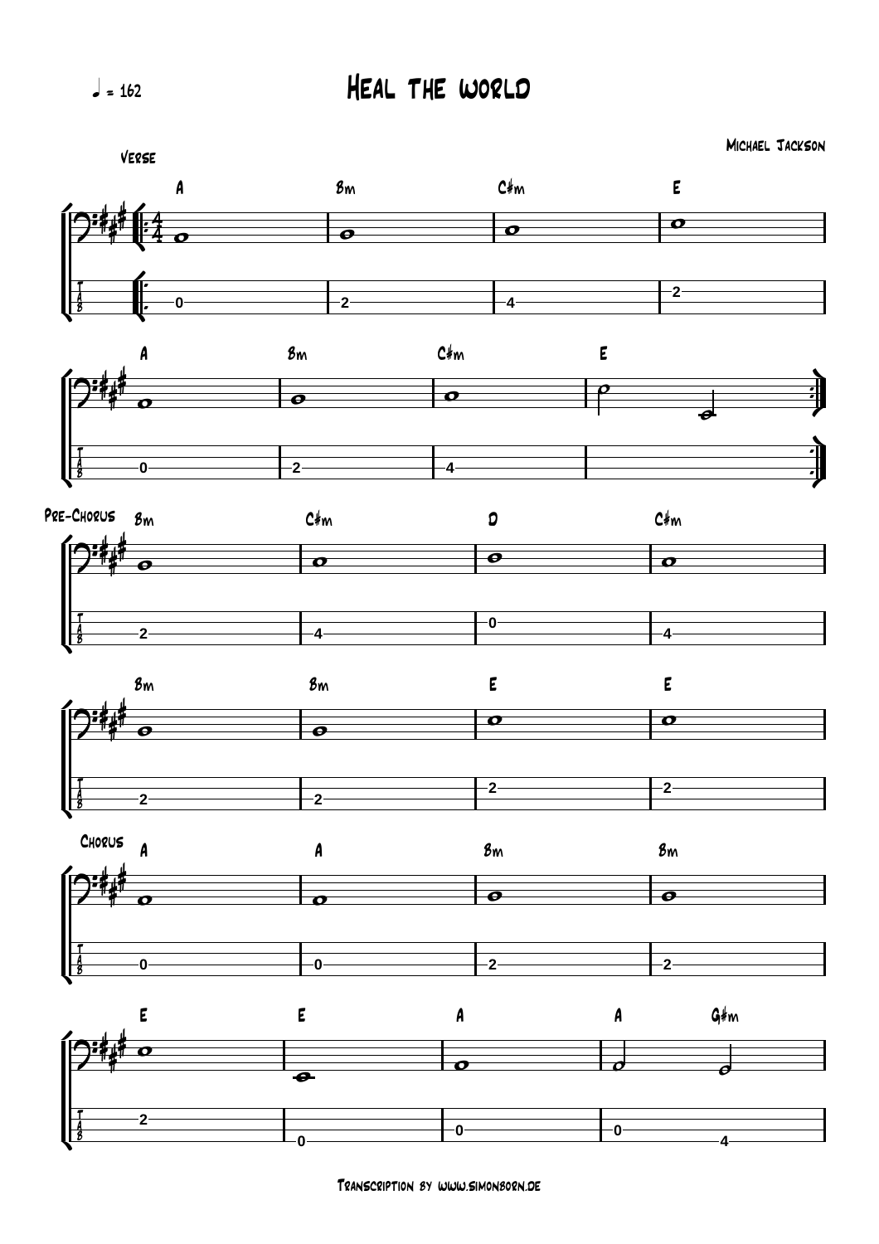## Heal the world

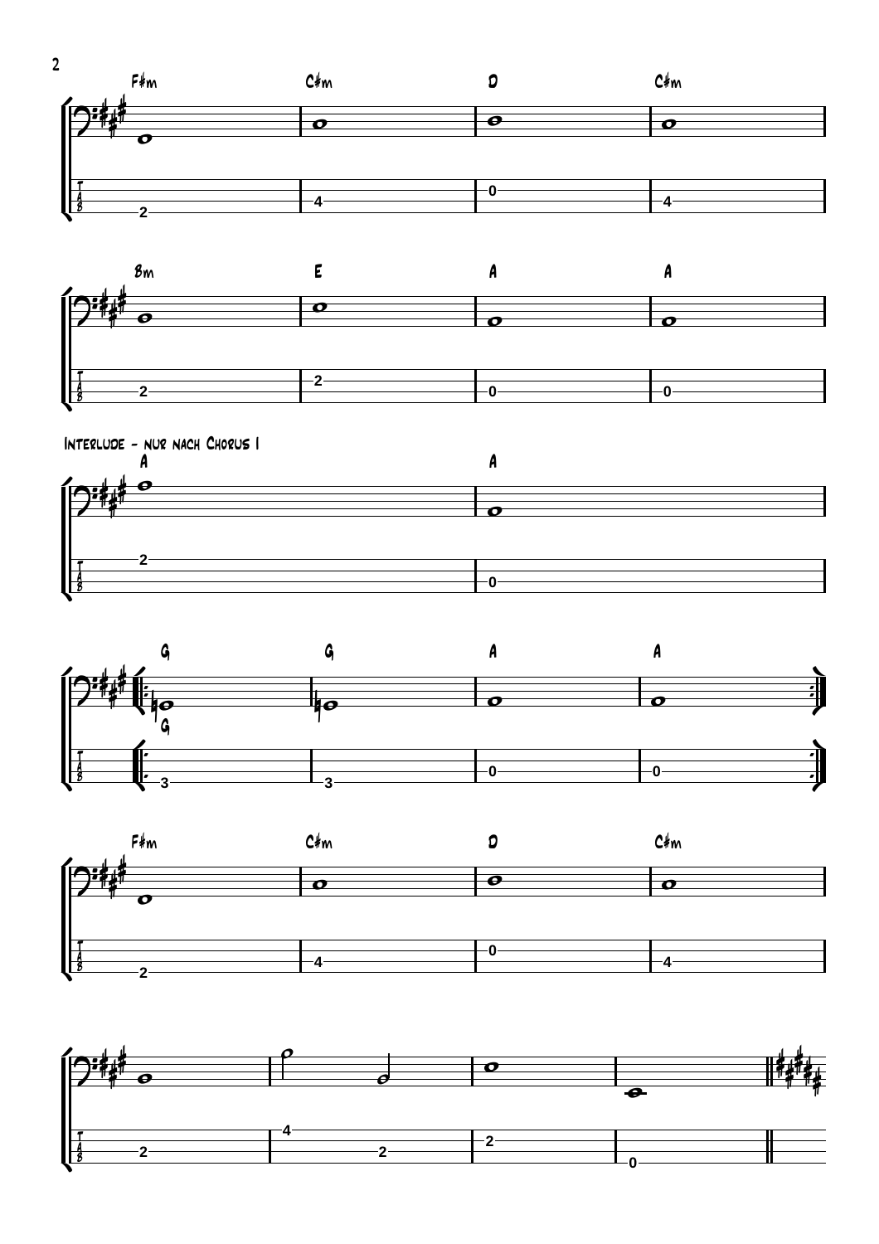









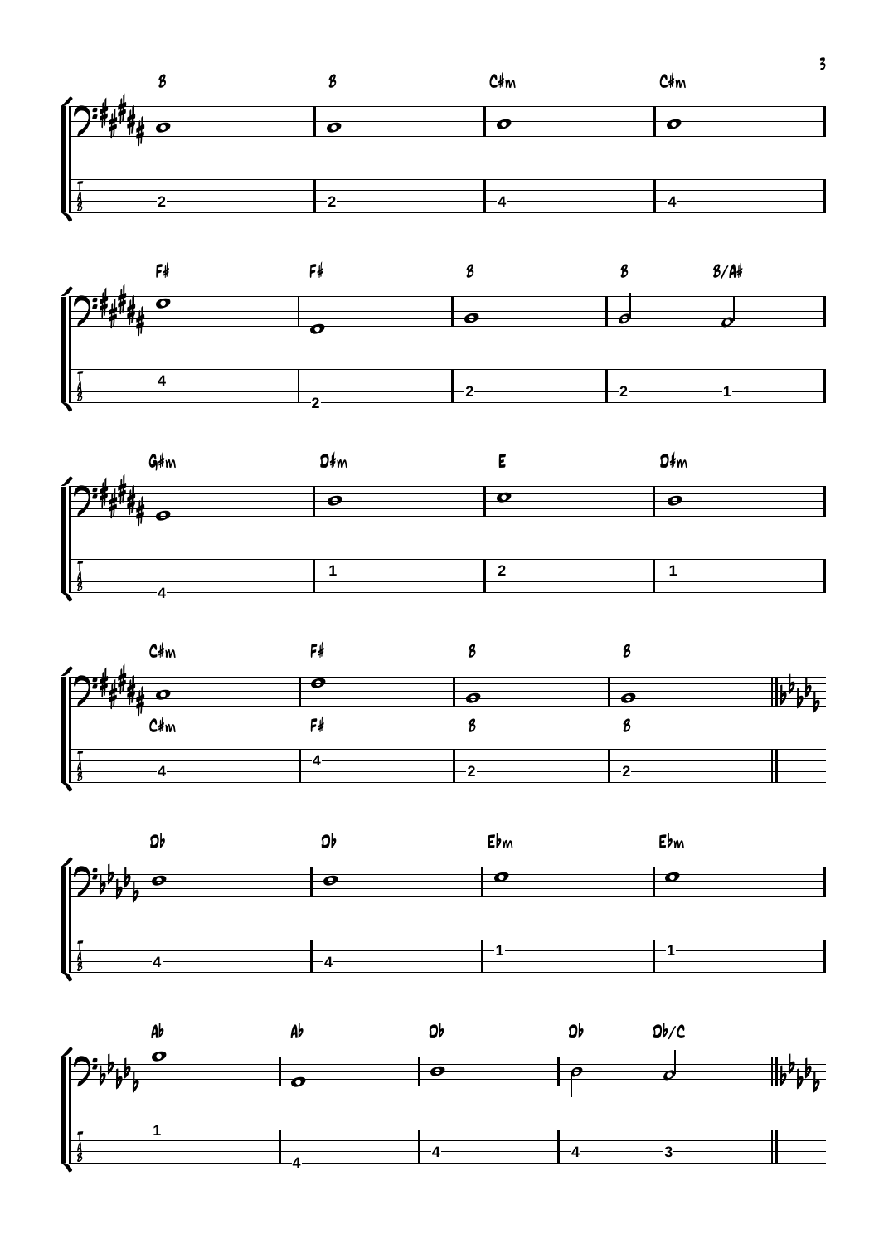